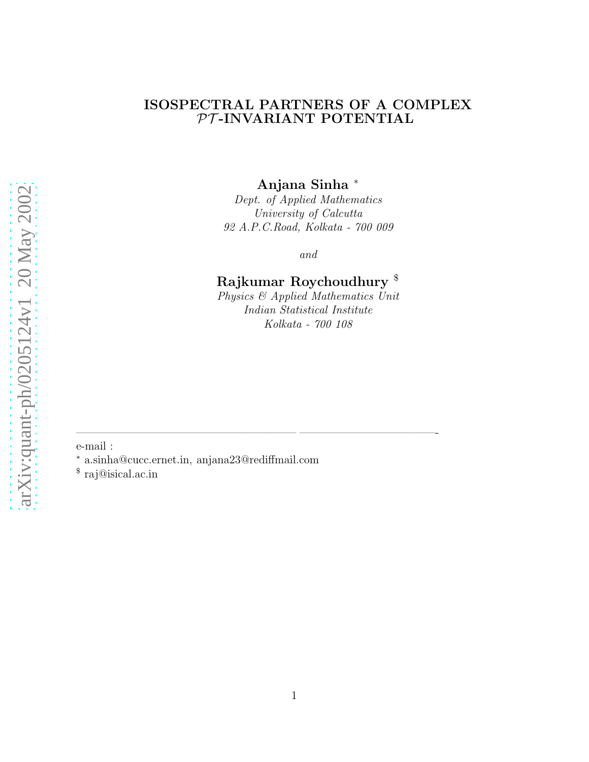#### ISOSPECTRAL PARTNERS OF A COMPLEX  $\mathcal{PT}\text{-}\textbf{INV}\textbf{ARI}\textbf{ANT}$ POTENTIAL

Anjana Sinha <sup>∗</sup>

Dept. of Applied Mathematics University of Calcutta 92 A.P.C.Road, Kolkata - 700 009

and

# Rajkumar Roychoudhury \$

Physics & Applied Mathematics Unit Indian Statistical Institute Kolkata - 700 108

e-mail :

<sup>∗</sup> a.sinha@cucc.ernet.in, anjana23@rediffmail.com

———————————————————– ————————————-

\$ raj@isical.ac.in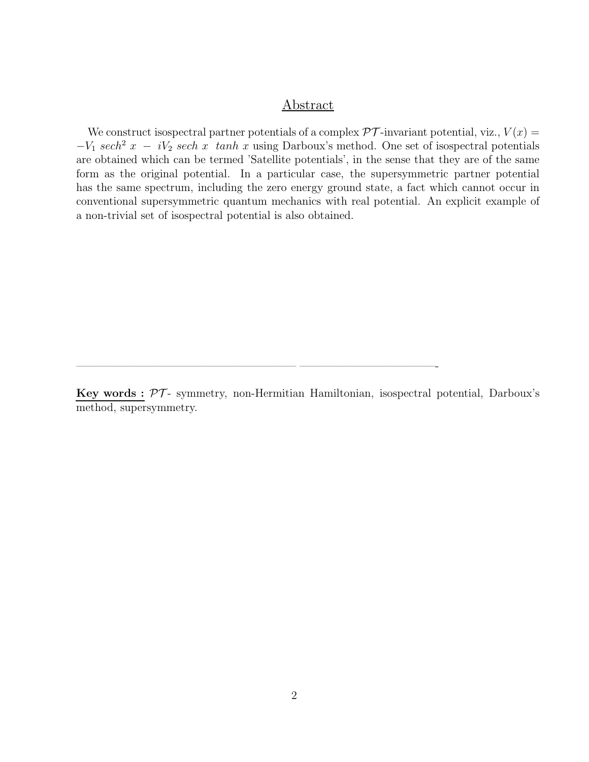#### Abstract

We construct isospectral partner potentials of a complex  $\mathcal{PT}$ -invariant potential, viz.,  $V(x) =$  $-V_1$  sech<sup>2</sup> x − iV<sub>2</sub> sech x tanh x using Darboux's method. One set of isospectral potentials are obtained which can be termed 'Satellite potentials', in the sense that they are of the same form as the original potential. In a particular case, the supersymmetric partner potential has the same spectrum, including the zero energy ground state, a fact which cannot occur in conventional supersymmetric quantum mechanics with real potential. An explicit example of a non-trivial set of isospectral potential is also obtained.

Key words :  $\mathcal{PT}$ - symmetry, non-Hermitian Hamiltonian, isospectral potential, Darboux's method, supersymmetry.

 $\overline{\phantom{a}}$  , and the contract of the contract of the contract of the contract of the contract of the contract of the contract of the contract of the contract of the contract of the contract of the contract of the contrac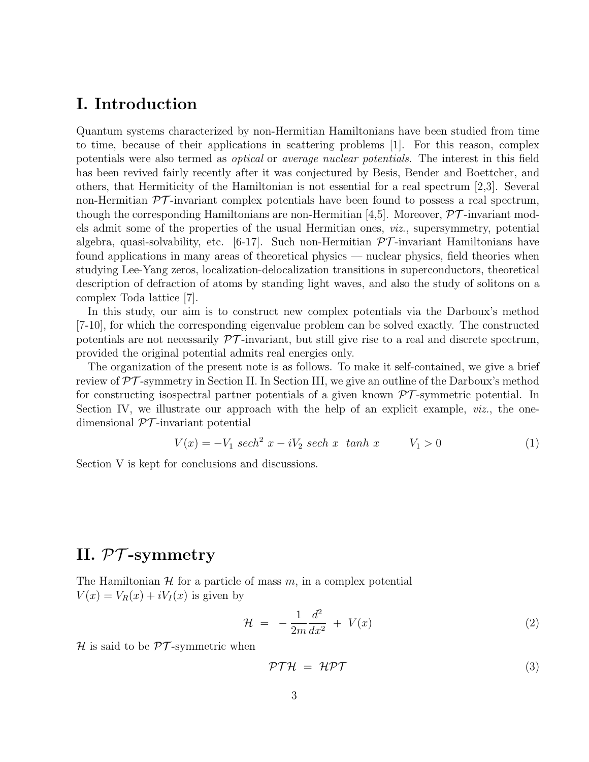#### I. Introduction

Quantum systems characterized by non-Hermitian Hamiltonians have been studied from time to time, because of their applications in scattering problems [1]. For this reason, complex potentials were also termed as optical or average nuclear potentials. The interest in this field has been revived fairly recently after it was conjectured by Besis, Bender and Boettcher, and others, that Hermiticity of the Hamiltonian is not essential for a real spectrum [2,3]. Several non-Hermitian  $\mathcal{PT}$ -invariant complex potentials have been found to possess a real spectrum, though the corresponding Hamiltonians are non-Hermitian [4,5]. Moreover,  $\mathcal{PT}$ -invariant models admit some of the properties of the usual Hermitian ones, viz., supersymmetry, potential algebra, quasi-solvability, etc. [6-17]. Such non-Hermitian  $\mathcal{PT}$ -invariant Hamiltonians have found applications in many areas of theoretical physics — nuclear physics, field theories when studying Lee-Yang zeros, localization-delocalization transitions in superconductors, theoretical description of defraction of atoms by standing light waves, and also the study of solitons on a complex Toda lattice [7].

In this study, our aim is to construct new complex potentials via the Darboux's method [7-10], for which the corresponding eigenvalue problem can be solved exactly. The constructed potentials are not necessarily  $\mathcal{PT}$ -invariant, but still give rise to a real and discrete spectrum, provided the original potential admits real energies only.

The organization of the present note is as follows. To make it self-contained, we give a brief review of  $\mathcal{PT}$ -symmetry in Section II. In Section III, we give an outline of the Darboux's method for constructing isospectral partner potentials of a given known  $\mathcal{PT}$ -symmetric potential. In Section IV, we illustrate our approach with the help of an explicit example, *viz.*, the onedimensional  $\mathcal{PT}$ -invariant potential

$$
V(x) = -V_1 \ sech^2 x - iV_2 \ sech x \ tanh x \qquad V_1 > 0 \tag{1}
$$

Section V is kept for conclusions and discussions.

## II. PT -symmetry

The Hamiltonian  $H$  for a particle of mass  $m$ , in a complex potential  $V(x) = V_R(x) + iV_I(x)$  is given by

$$
\mathcal{H} = -\frac{1}{2m}\frac{d^2}{dx^2} + V(x) \tag{2}
$$

 $H$  is said to be  $PT$ -symmetric when

$$
\mathcal{PTH} = \mathcal{HPT} \tag{3}
$$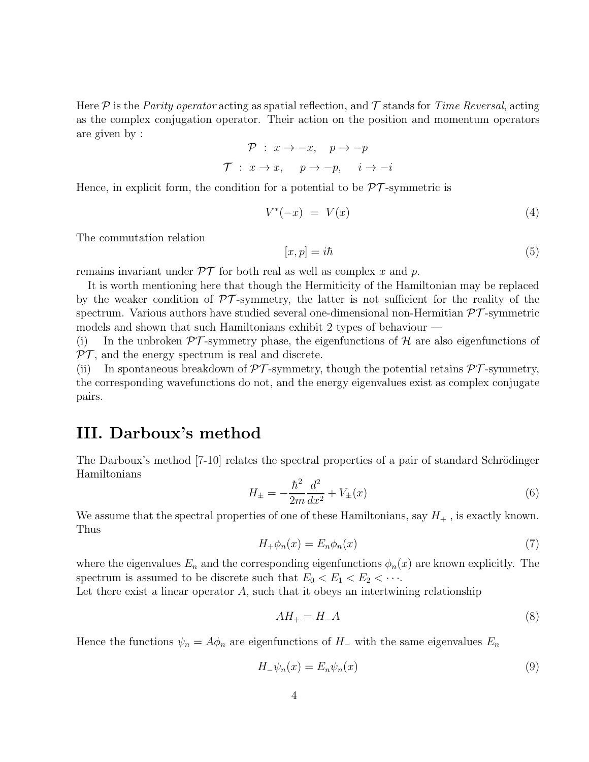Here  $\mathcal P$  is the *Parity operator* acting as spatial reflection, and  $\mathcal T$  stands for *Time Reversal*, acting as the complex conjugation operator. Their action on the position and momentum operators are given by :

> $\mathcal{P}$  :  $x \to -x$ ,  $p \to -p$  $\mathcal{T}$  :  $x \to x$ ,  $p \to -p$ ,  $i \to -i$

Hence, in explicit form, the condition for a potential to be  $\mathcal{PT}$ -symmetric is

$$
V^*(-x) = V(x) \tag{4}
$$

The commutation relation

$$
[x,p] = i\hbar \tag{5}
$$

remains invariant under  $\mathcal{PT}$  for both real as well as complex x and p.

It is worth mentioning here that though the Hermiticity of the Hamiltonian may be replaced by the weaker condition of  $\mathcal{PT}$ -symmetry, the latter is not sufficient for the reality of the spectrum. Various authors have studied several one-dimensional non-Hermitian  $\mathcal{PT}$ -symmetric models and shown that such Hamiltonians exhibit 2 types of behaviour —

(i) In the unbroken  $\mathcal{PT}$ -symmetry phase, the eigenfunctions of H are also eigenfunctions of  $PT$ , and the energy spectrum is real and discrete.

(ii) In spontaneous breakdown of  $\mathcal{PT}$ -symmetry, though the potential retains  $\mathcal{PT}$ -symmetry, the corresponding wavefunctions do not, and the energy eigenvalues exist as complex conjugate pairs.

#### III. Darboux's method

The Darboux's method [7-10] relates the spectral properties of a pair of standard Schrödinger Hamiltonians

$$
H_{\pm} = -\frac{\hbar^2}{2m} \frac{d^2}{dx^2} + V_{\pm}(x) \tag{6}
$$

We assume that the spectral properties of one of these Hamiltonians, say  $H_{+}$ , is exactly known. Thus

$$
H_{+}\phi_{n}(x) = E_{n}\phi_{n}(x) \tag{7}
$$

where the eigenvalues  $E_n$  and the corresponding eigenfunctions  $\phi_n(x)$  are known explicitly. The spectrum is assumed to be discrete such that  $E_0 < E_1 < E_2 < \cdots$ .

Let there exist a linear operator A, such that it obeys an intertwining relationship

$$
AH_{+} = H_{-}A \tag{8}
$$

Hence the functions  $\psi_n = A\phi_n$  are eigenfunctions of H<sub>−</sub> with the same eigenvalues  $E_n$ 

$$
H_{-}\psi_{n}(x) = E_{n}\psi_{n}(x) \tag{9}
$$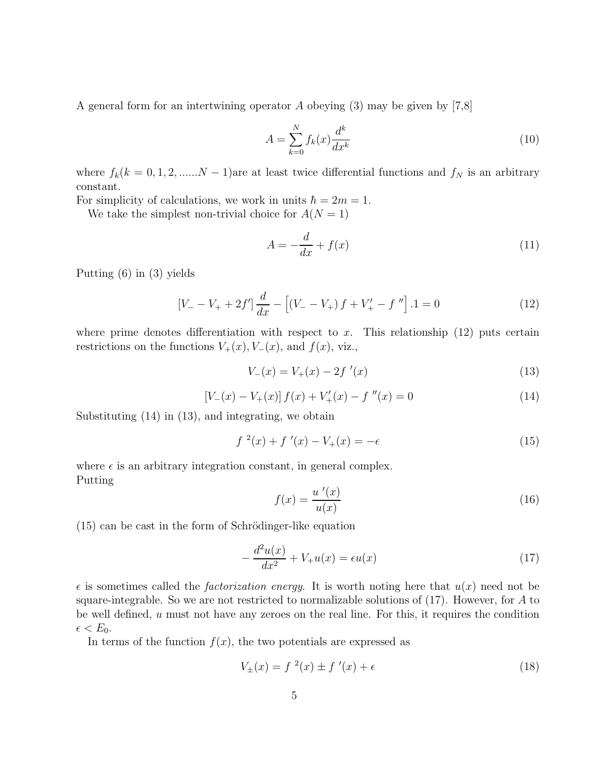A general form for an intertwining operator A obeying  $(3)$  may be given by  $[7,8]$ 

$$
A = \sum_{k=0}^{N} f_k(x) \frac{d^k}{dx^k} \tag{10}
$$

where  $f_k(k = 0, 1, 2, \dots N - 1)$  are at least twice differential functions and  $f_N$  is an arbitrary constant.

For simplicity of calculations, we work in units  $\hbar = 2m = 1$ .

We take the simplest non-trivial choice for  $A(N = 1)$ 

$$
A = -\frac{d}{dx} + f(x) \tag{11}
$$

Putting (6) in (3) yields

$$
\left[V_{-} - V_{+} + 2f'\right] \frac{d}{dx} - \left[\left(V_{-} - V_{+}\right)f + V'_{+} - f''\right].1 = 0\tag{12}
$$

where prime denotes differentiation with respect to x. This relationship  $(12)$  puts certain restrictions on the functions  $V_+(x)$ ,  $V_-(x)$ , and  $f(x)$ , viz.,

$$
V_{-}(x) = V_{+}(x) - 2f'(x)
$$
\n(13)

$$
[V_{-}(x) - V_{+}(x)] f(x) + V'_{+}(x) - f''(x) = 0
$$
\n(14)

Substituting (14) in (13), and integrating, we obtain

$$
f^{2}(x) + f'(x) - V_{+}(x) = -\epsilon
$$
\n(15)

where  $\epsilon$  is an arbitrary integration constant, in general complex. Putting

$$
f(x) = \frac{u'(x)}{u(x)}\tag{16}
$$

 $(15)$  can be cast in the form of Schrödinger-like equation

$$
-\frac{d^2u(x)}{dx^2} + V_+u(x) = \epsilon u(x) \tag{17}
$$

 $\epsilon$  is sometimes called the *factorization energy*. It is worth noting here that  $u(x)$  need not be square-integrable. So we are not restricted to normalizable solutions of  $(17)$ . However, for A to be well defined,  $u$  must not have any zeroes on the real line. For this, it requires the condition  $\epsilon < E_0$ .

In terms of the function  $f(x)$ , the two potentials are expressed as

$$
V_{\pm}(x) = f^{2}(x) \pm f'(x) + \epsilon
$$
\n(18)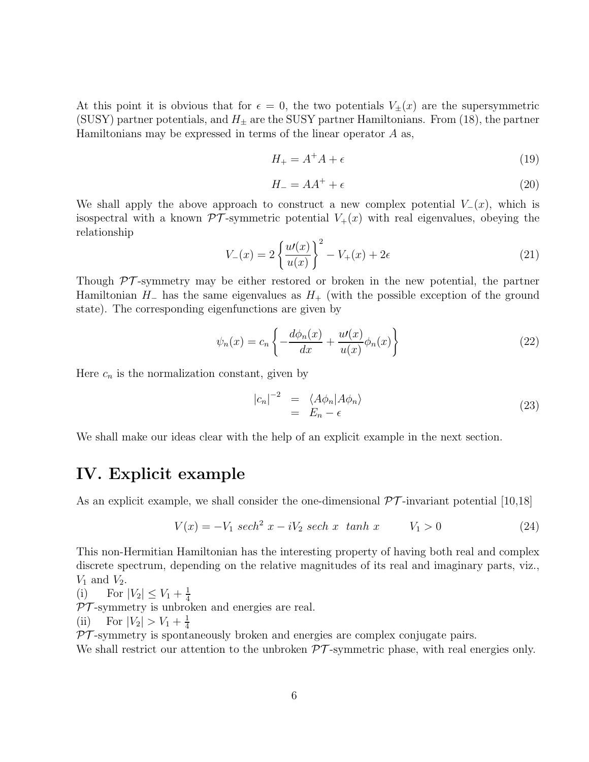At this point it is obvious that for  $\epsilon = 0$ , the two potentials  $V_{\pm}(x)$  are the supersymmetric (SUSY) partner potentials, and  $H_{\pm}$  are the SUSY partner Hamiltonians. From (18), the partner Hamiltonians may be expressed in terms of the linear operator A as,

$$
H_{+} = A^{+}A + \epsilon \tag{19}
$$

$$
H_{-} = AA^{+} + \epsilon \tag{20}
$$

We shall apply the above approach to construct a new complex potential  $V_-(x)$ , which is isospectral with a known  $\mathcal{PT}$ -symmetric potential  $V_+(x)$  with real eigenvalues, obeying the relationship

$$
V_{-}(x) = 2\left\{\frac{u'(x)}{u(x)}\right\}^{2} - V_{+}(x) + 2\epsilon
$$
\n(21)

Though  $\mathcal{PT}$ -symmetry may be either restored or broken in the new potential, the partner Hamiltonian  $H_-\$  has the same eigenvalues as  $H_+\$  (with the possible exception of the ground state). The corresponding eigenfunctions are given by

$$
\psi_n(x) = c_n \left\{ -\frac{d\phi_n(x)}{dx} + \frac{u'(x)}{u(x)} \phi_n(x) \right\} \tag{22}
$$

Here  $c_n$  is the normalization constant, given by

$$
|c_n|^{-2} = \langle A\phi_n | A\phi_n \rangle
$$
  
=  $E_n - \epsilon$  (23)

We shall make our ideas clear with the help of an explicit example in the next section.

### IV. Explicit example

As an explicit example, we shall consider the one-dimensional  $\mathcal{PT}$ -invariant potential [10,18]

$$
V(x) = -V_1 \ sech^2 x - iV_2 \ sech x \ tanh x \qquad V_1 > 0 \tag{24}
$$

This non-Hermitian Hamiltonian has the interesting property of having both real and complex discrete spectrum, depending on the relative magnitudes of its real and imaginary parts, viz.,  $V_1$  and  $V_2$ .

(i) For 
$$
|V_2| \le V_1 + \frac{1}{4}
$$

 $PT$ -symmetry is unbroken and energies are real.

(ii) For  $|V_2| > V_1 + \frac{1}{4}$ 4

 $PT$ -symmetry is spontaneously broken and energies are complex conjugate pairs.

We shall restrict our attention to the unbroken  $\mathcal{PT}$ -symmetric phase, with real energies only.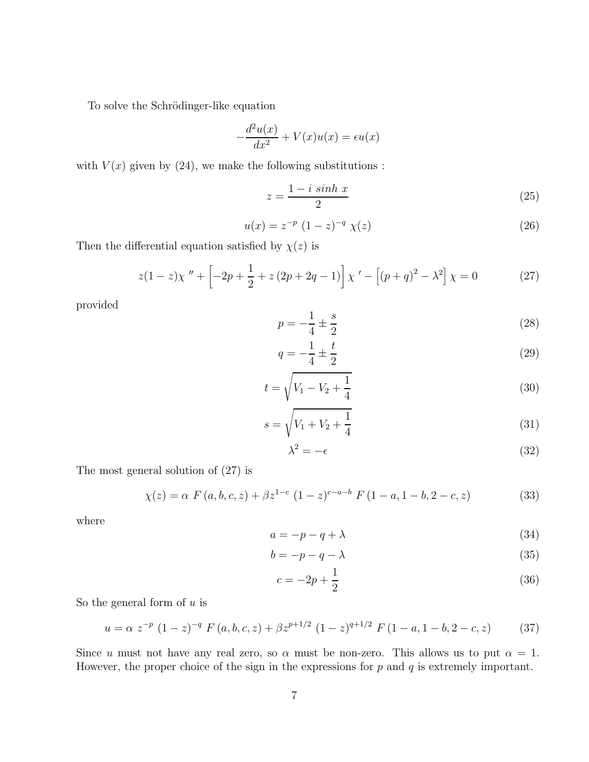To solve the Schrödinger-like equation

$$
-\frac{d^2u(x)}{dx^2} + V(x)u(x) = \epsilon u(x)
$$

with  $V(x)$  given by (24), we make the following substitutions :

$$
z = \frac{1 - i\,\sinh x}{2} \tag{25}
$$

$$
u(x) = z^{-p} (1 - z)^{-q} \chi(z)
$$
 (26)

Then the differential equation satisfied by  $\chi(z)$  is

$$
z(1-z)\chi'' + \left[-2p + \frac{1}{2} + z(2p + 2q - 1)\right]\chi' - \left[(p+q)^2 - \lambda^2\right]\chi = 0
$$
 (27)

provided

 $p = -$ 1  $\frac{1}{4}$   $\pm$ s 2 (28)

$$
q = -\frac{1}{4} \pm \frac{t}{2} \tag{29}
$$

$$
t = \sqrt{V_1 - V_2 + \frac{1}{4}}
$$
\n(30)

$$
s = \sqrt{V_1 + V_2 + \frac{1}{4}}
$$
 (31)

$$
\lambda^2 = -\epsilon \tag{32}
$$

The most general solution of (27) is

$$
\chi(z) = \alpha F(a, b, c, z) + \beta z^{1-c} (1-z)^{c-a-b} F(1-a, 1-b, 2-c, z)
$$
 (33)

where

$$
a = -p - q + \lambda \tag{34}
$$

$$
b = -p - q - \lambda \tag{35}
$$

$$
c = -2p + \frac{1}{2} \tag{36}
$$

So the general form of  $u$  is

$$
u = \alpha z^{-p} (1 - z)^{-q} F(a, b, c, z) + \beta z^{p+1/2} (1 - z)^{q+1/2} F(1 - a, 1 - b, 2 - c, z)
$$
 (37)

Since u must not have any real zero, so  $\alpha$  must be non-zero. This allows us to put  $\alpha = 1$ . However, the proper choice of the sign in the expressions for  $p$  and  $q$  is extremely important.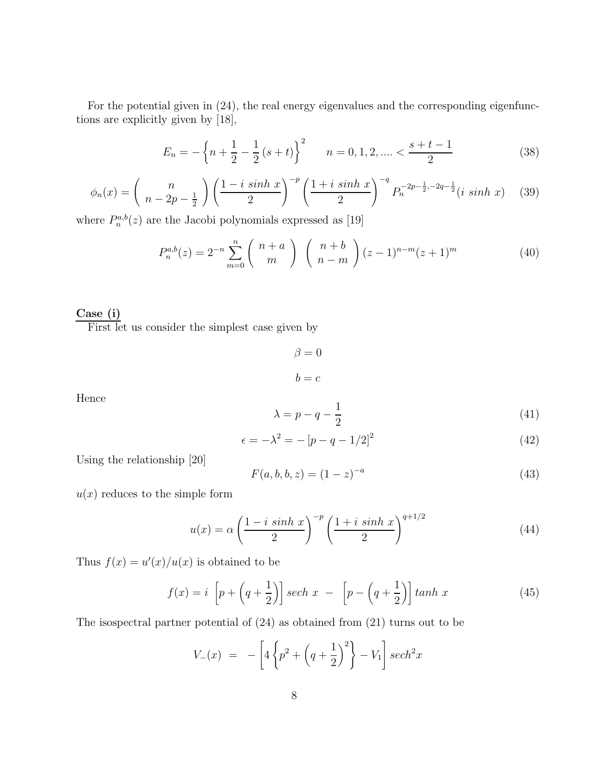For the potential given in (24), the real energy eigenvalues and the corresponding eigenfunctions are explicitly given by [18],

$$
E_n = -\left\{n + \frac{1}{2} - \frac{1}{2}(s+t)\right\}^2 \qquad n = 0, 1, 2, \dots < \frac{s+t-1}{2} \tag{38}
$$

$$
\phi_n(x) = \left(\begin{array}{c} n \\ n - 2p - \frac{1}{2} \end{array}\right) \left(\frac{1 - i \sinh x}{2}\right)^{-p} \left(\frac{1 + i \sinh x}{2}\right)^{-q} P_n^{-2p - \frac{1}{2}, -2q - \frac{1}{2}}(i \sinh x) \tag{39}
$$

where  $P_n^{a,b}(z)$  are the Jacobi polynomials expressed as [19]

$$
P_n^{a,b}(z) = 2^{-n} \sum_{m=0}^n {n+a \choose m} {n+b \choose n-m} (z-1)^{n-m} (z+1)^m
$$
 (40)

#### Case (i)

First let us consider the simplest case given by

$$
\beta = 0
$$

$$
b = c
$$

Hence

$$
\lambda = p - q - \frac{1}{2} \tag{41}
$$

$$
\epsilon = -\lambda^2 = -\left[p - q - 1/2\right]^2\tag{42}
$$

Using the relationship [20]

$$
F(a, b, b, z) = (1 - z)^{-a}
$$
\n(43)

 $u(x)$  reduces to the simple form

$$
u(x) = \alpha \left(\frac{1-i\sinh x}{2}\right)^{-p} \left(\frac{1+i\sinh x}{2}\right)^{q+1/2} \tag{44}
$$

Thus  $f(x) = u'(x)/u(x)$  is obtained to be

$$
f(x) = i \left[ p + \left( q + \frac{1}{2} \right) \right] sech x - \left[ p - \left( q + \frac{1}{2} \right) \right] tanh x \tag{45}
$$

The isospectral partner potential of (24) as obtained from (21) turns out to be

$$
V_{-}(x) = -\left[4\left\{p^{2} + \left(q + \frac{1}{2}\right)^{2}\right\} - V_{1}\right]sech^{2}x
$$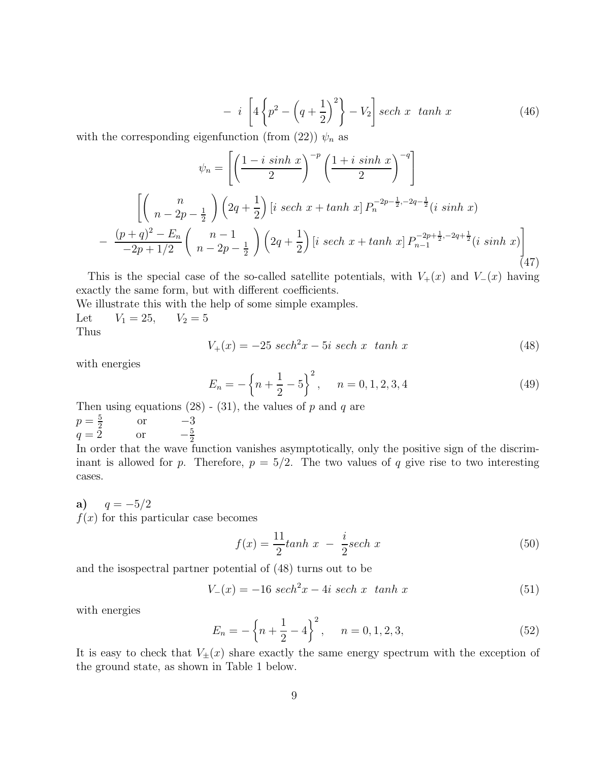$$
- i \left[ 4 \left\{ p^2 - \left( q + \frac{1}{2} \right)^2 \right\} - V_2 \right] sech \ x \ \tanh x \tag{46}
$$

with the corresponding eigenfunction (from (22))  $\psi_n$  as

$$
\psi_n = \left[ \left( \frac{1 - i \sinh x}{2} \right)^{-p} \left( \frac{1 + i \sinh x}{2} \right)^{-q} \right]
$$

$$
\left[ \left( \frac{n}{n - 2p - \frac{1}{2}} \right) \left( 2q + \frac{1}{2} \right) \left[ i \sech x + \tanh x \right] P_n^{-2p - \frac{1}{2}, -2q - \frac{1}{2}} (i \sinh x)
$$

$$
- \frac{(p+q)^2 - E_n}{-2p + 1/2} \left( \frac{n-1}{n - 2p - \frac{1}{2}} \right) \left( 2q + \frac{1}{2} \right) \left[ i \sech x + \tanh x \right] P_{n-1}^{-2p + \frac{1}{2}, -2q + \frac{1}{2}} (i \sinh x) \right]
$$
(47)

This is the special case of the so-called satellite potentials, with  $V_+(x)$  and  $V_-(x)$  having exactly the same form, but with different coefficients.

We illustrate this with the help of some simple examples. Let  $V_1 = 25$ ,  $V_2 = 5$ Thus

$$
V_{+}(x) = -25 \sech^{2} x - 5i \sech x \tanh x \tag{48}
$$

with energies

$$
E_n = -\left\{n + \frac{1}{2} - 5\right\}^2, \quad n = 0, 1, 2, 3, 4 \tag{49}
$$

Then using equations (28) - (31), the values of *p* and *q* are 
$$
p = \frac{5}{2}
$$
 or  $-3$   $q = 2$  or  $-\frac{5}{2}$  In order that the wave function vanishes asymptotically, or

In order that the positive sign of the discriminant is allowed for p. Therefore,  $p = 5/2$ . The two values of q give rise to two interesting cases.

a)  $q = -5/2$  $f(x)$  for this particular case becomes

$$
f(x) = \frac{11}{2} \tanh x - \frac{i}{2} \operatorname{sech} x \tag{50}
$$

and the isospectral partner potential of (48) turns out to be

$$
V_{-}(x) = -16 \sech^{2} x - 4i \sech x \tanh x \tag{51}
$$

with energies

$$
E_n = -\left\{n + \frac{1}{2} - 4\right\}^2, \quad n = 0, 1, 2, 3,
$$
\n(52)

It is easy to check that  $V_{\pm}(x)$  share exactly the same energy spectrum with the exception of the ground state, as shown in Table 1 below.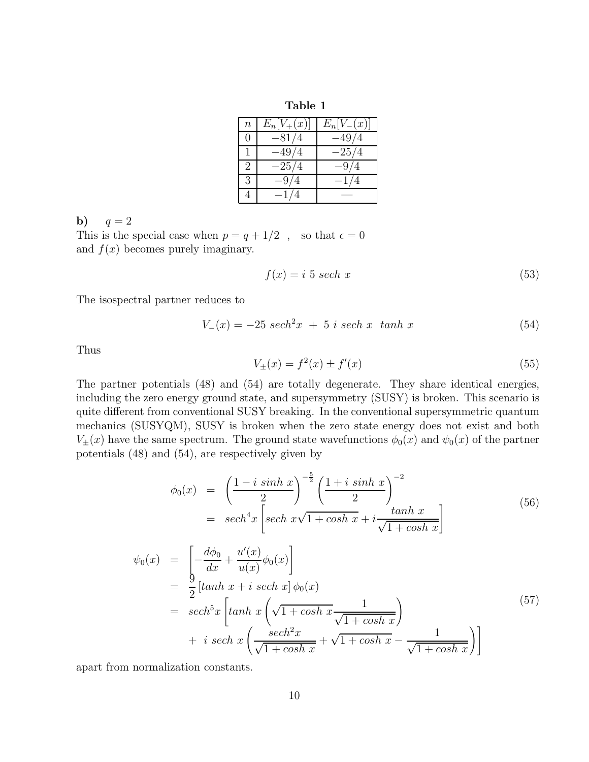Table 1

| $\boldsymbol{n}$ | $E_n[V_+(x)]$ | $E_n[V(x)]$ |
|------------------|---------------|-------------|
| $\mathcal{O}$    | $-81/4$       | $-49/4$     |
|                  | $-49/4$       | $-25/4$     |
| $\mathcal{D}$    | $-25/4$       | $-9/4$      |
| 3                | $-9/4$        | $-1/4$      |
|                  | $-1/$         |             |

b)  $q = 2$ 

This is the special case when  $p = q + 1/2$ , so that  $\epsilon = 0$ and  $f(x)$  becomes purely imaginary.

$$
f(x) = i \ 5 \ sech x \tag{53}
$$

The isospectral partner reduces to

$$
V_{-}(x) = -25 \ sech^{2}x + 5 \ i \ sech \ x \ \ tanh \ x \tag{54}
$$

Thus

$$
V_{\pm}(x) = f^2(x) \pm f'(x)
$$
\n(55)

The partner potentials (48) and (54) are totally degenerate. They share identical energies, including the zero energy ground state, and supersymmetry (SUSY) is broken. This scenario is quite different from conventional SUSY breaking. In the conventional supersymmetric quantum mechanics (SUSYQM), SUSY is broken when the zero state energy does not exist and both  $V_{\pm}(x)$  have the same spectrum. The ground state wavefunctions  $\phi_0(x)$  and  $\psi_0(x)$  of the partner potentials (48) and (54), are respectively given by

$$
\phi_0(x) = \left(\frac{1 - i \sinh x}{2}\right)^{-\frac{5}{2}} \left(\frac{1 + i \sinh x}{2}\right)^{-2}
$$
  
=  $sech^4 x \left[ sech x \sqrt{1 + \cosh x} + i \frac{\tanh x}{\sqrt{1 + \cosh x}} \right]$  (56)

$$
\psi_0(x) = \left[ -\frac{d\phi_0}{dx} + \frac{u'(x)}{u(x)} \phi_0(x) \right]
$$
  
\n
$$
= \frac{9}{2} \left[ \tanh x + i \operatorname{sech} x \right] \phi_0(x)
$$
  
\n
$$
= \operatorname{sech}^5 x \left[ \tanh x \left( \sqrt{1 + \cosh x} \frac{1}{\sqrt{1 + \cosh x}} \right) + i \operatorname{sech} x \left( \frac{\operatorname{sech}^2 x}{\sqrt{1 + \cosh x}} + \sqrt{1 + \cosh x} - \frac{1}{\sqrt{1 + \cosh x}} \right) \right]
$$
\n(57)

apart from normalization constants.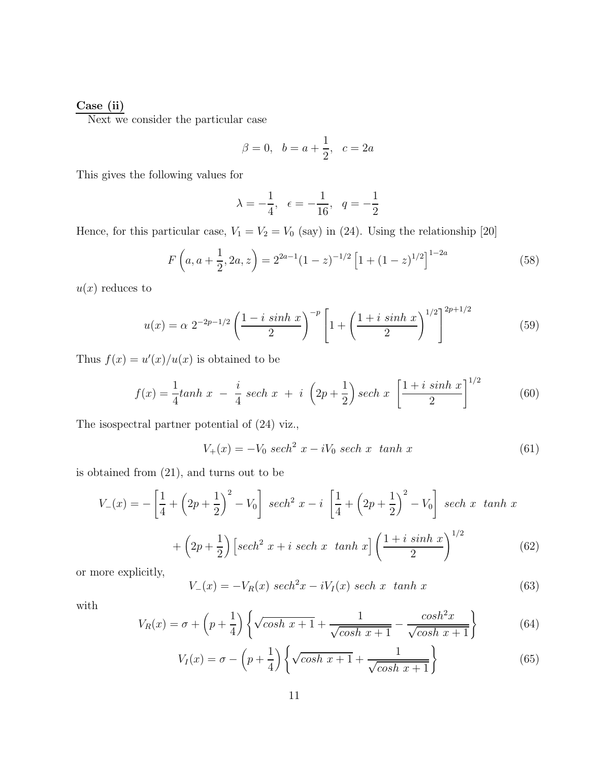#### Case (ii)

Next we consider the particular case

$$
\beta = 0, \ \ b = a + \frac{1}{2}, \ \ c = 2a
$$

This gives the following values for

$$
\lambda = -\frac{1}{4}, \epsilon = -\frac{1}{16}, q = -\frac{1}{2}
$$

Hence, for this particular case,  $V_1 = V_2 = V_0$  (say) in (24). Using the relationship [20]

$$
F\left(a, a+\frac{1}{2}, 2a, z\right) = 2^{2a-1}(1-z)^{-1/2}\left[1+(1-z)^{1/2}\right]^{1-2a}
$$
\n(58)

 $u(x)$  reduces to

$$
u(x) = \alpha 2^{-2p-1/2} \left(\frac{1-i \sinh x}{2}\right)^{-p} \left[1 + \left(\frac{1+i \sinh x}{2}\right)^{1/2}\right]^{2p+1/2} \tag{59}
$$

Thus  $f(x) = u'(x)/u(x)$  is obtained to be

$$
f(x) = \frac{1}{4} \tanh x - \frac{i}{4} \sech x + i \left(2p + \frac{1}{2}\right) \sech x \left[\frac{1 + i \sinh x}{2}\right]^{1/2} \tag{60}
$$

The isospectral partner potential of (24) viz.,

$$
V_{+}(x) = -V_0 \ sech^2 x - iV_0 \ sech x \ tanh x \tag{61}
$$

is obtained from (21), and turns out to be

$$
V_{-}(x) = -\left[\frac{1}{4} + \left(2p + \frac{1}{2}\right)^{2} - V_{0}\right] \operatorname{sech}^{2} x - i \left[\frac{1}{4} + \left(2p + \frac{1}{2}\right)^{2} - V_{0}\right] \operatorname{sech} x \ \tanh x
$$

$$
+ \left(2p + \frac{1}{2}\right) \left[\operatorname{sech}^{2} x + i \operatorname{sech} x \ \tanh x\right] \left(\frac{1 + i \sinh x}{2}\right)^{1/2} \tag{62}
$$

or more explicitly,

$$
V_{-}(x) = -V_{R}(x) \ sech^{2}x - iV_{I}(x) \ sech x \ tanh x \tag{63}
$$

with

$$
V_R(x) = \sigma + \left(p + \frac{1}{4}\right) \left\{ \sqrt{\cosh x + 1} + \frac{1}{\sqrt{\cosh x + 1}} - \frac{\cosh^2 x}{\sqrt{\cosh x + 1}} \right\} \tag{64}
$$

$$
V_I(x) = \sigma - \left(p + \frac{1}{4}\right) \left\{\sqrt{\cosh x + 1} + \frac{1}{\sqrt{\cosh x + 1}}\right\} \tag{65}
$$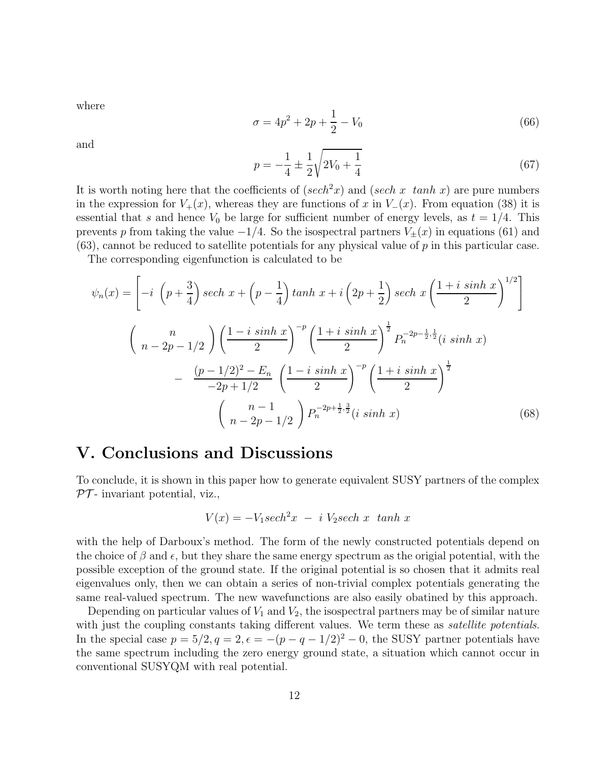where

$$
\sigma = 4p^2 + 2p + \frac{1}{2} - V_0 \tag{66}
$$

and

$$
p = -\frac{1}{4} \pm \frac{1}{2} \sqrt{2V_0 + \frac{1}{4}}
$$
\n(67)

It is worth noting here that the coefficients of  $(sech<sup>2</sup>x)$  and  $(sech x \tanh x)$  are pure numbers in the expression for  $V_+(x)$ , whereas they are functions of x in  $V_-(x)$ . From equation (38) it is essential that s and hence  $V_0$  be large for sufficient number of energy levels, as  $t = 1/4$ . This prevents p from taking the value  $-1/4$ . So the isospectral partners  $V_{\pm}(x)$  in equations (61) and  $(63)$ , cannot be reduced to satellite potentials for any physical value of p in this particular case.

The corresponding eigenfunction is calculated to be

$$
\psi_n(x) = \left[ -i \left( p + \frac{3}{4} \right) sech \ x + \left( p - \frac{1}{4} \right) \tanh x + i \left( 2p + \frac{1}{2} \right) sech \ x \left( \frac{1 + i \sinh x}{2} \right)^{1/2} \right]
$$

$$
\left( n - 2p - 1/2 \right) \left( \frac{1 - i \sinh x}{2} \right)^{-p} \left( \frac{1 + i \sinh x}{2} \right)^{\frac{1}{2}} P_n^{-2p - \frac{1}{2}, \frac{1}{2}} (i \sinh x)
$$

$$
- \frac{(p - 1/2)^2 - E_n}{-2p + 1/2} \left( \frac{1 - i \sinh x}{2} \right)^{-p} \left( \frac{1 + i \sinh x}{2} \right)^{\frac{1}{2}}
$$

$$
\left( n - \frac{1}{2p - 1/2} \right) P_n^{-2p + \frac{1}{2}, \frac{3}{2}} (i \sinh x) \tag{68}
$$

### V. Conclusions and Discussions

To conclude, it is shown in this paper how to generate equivalent SUSY partners of the complex  $PT$ - invariant potential, viz.,

$$
V(x) = -V_1 \operatorname{sech}^2 x - i V_2 \operatorname{sech} x \ \tanh x
$$

with the help of Darboux's method. The form of the newly constructed potentials depend on the choice of  $\beta$  and  $\epsilon$ , but they share the same energy spectrum as the origial potential, with the possible exception of the ground state. If the original potential is so chosen that it admits real eigenvalues only, then we can obtain a series of non-trivial complex potentials generating the same real-valued spectrum. The new wavefunctions are also easily obatined by this approach.

Depending on particular values of  $V_1$  and  $V_2$ , the isospectral partners may be of similar nature with just the coupling constants taking different values. We term these as *satellite potentials*. In the special case  $p = 5/2, q = 2, \epsilon = -(p - q - 1/2)^2 - 0$ , the SUSY partner potentials have the same spectrum including the zero energy ground state, a situation which cannot occur in conventional SUSYQM with real potential.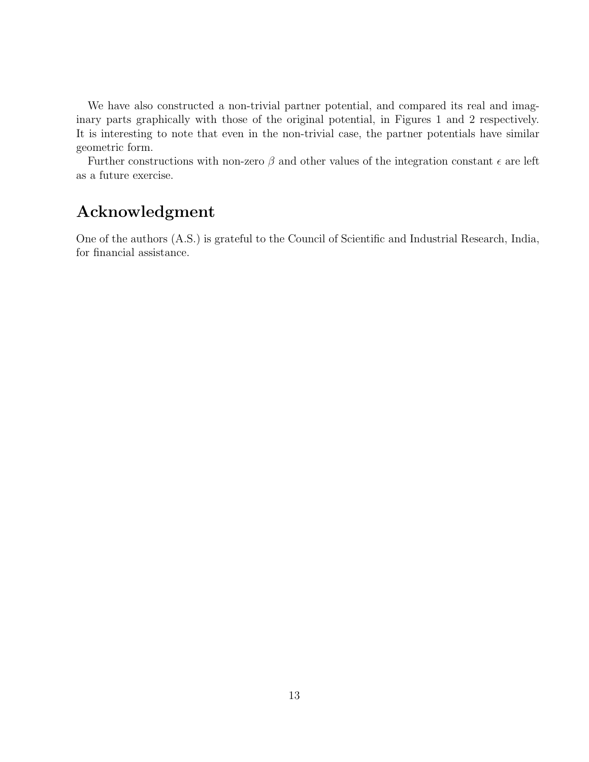We have also constructed a non-trivial partner potential, and compared its real and imaginary parts graphically with those of the original potential, in Figures 1 and 2 respectively. It is interesting to note that even in the non-trivial case, the partner potentials have similar geometric form.

Further constructions with non-zero  $\beta$  and other values of the integration constant  $\epsilon$  are left as a future exercise.

## Acknowledgment

One of the authors (A.S.) is grateful to the Council of Scientific and Industrial Research, India, for financial assistance.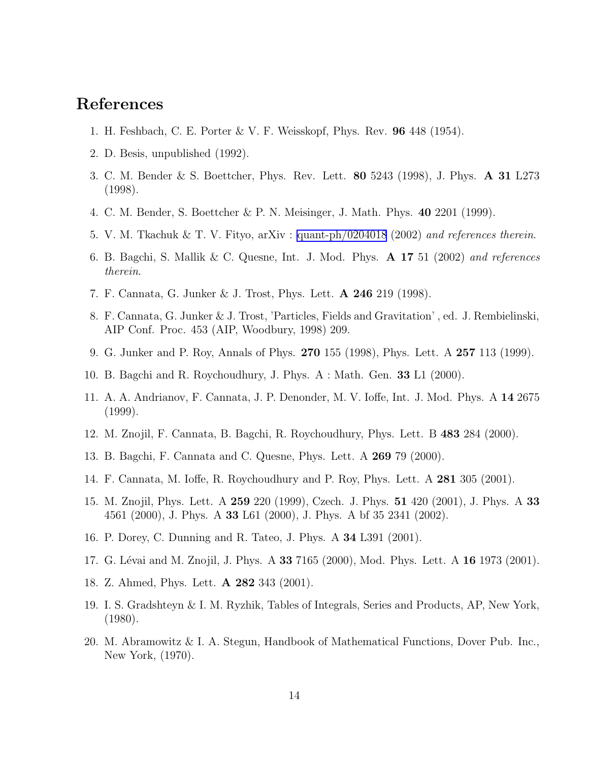### References

- 1. H. Feshbach, C. E. Porter & V. F. Weisskopf, Phys. Rev. 96 448 (1954).
- 2. D. Besis, unpublished (1992).
- 3. C. M. Bender & S. Boettcher, Phys. Rev. Lett. 80 5243 (1998), J. Phys. A 31 L273 (1998).
- 4. C. M. Bender, S. Boettcher & P. N. Meisinger, J. Math. Phys. 40 2201 (1999).
- 5. V. M. Tkachuk & T. V. Fityo, arXiv : [quant-ph/0204018](http://arxiv.org/abs/quant-ph/0204018) (2002) and references therein.
- 6. B. Bagchi, S. Mallik & C. Quesne, Int. J. Mod. Phys.  $\bf{A}$  17 51 (2002) and references therein.
- 7. F. Cannata, G. Junker & J. Trost, Phys. Lett. A 246 219 (1998).
- 8. F. Cannata, G. Junker & J. Trost, 'Particles, Fields and Gravitation' , ed. J. Rembielinski, AIP Conf. Proc. 453 (AIP, Woodbury, 1998) 209.
- 9. G. Junker and P. Roy, Annals of Phys. 270 155 (1998), Phys. Lett. A 257 113 (1999).
- 10. B. Bagchi and R. Roychoudhury, J. Phys. A : Math. Gen. 33 L1 (2000).
- 11. A. A. Andrianov, F. Cannata, J. P. Denonder, M. V. Ioffe, Int. J. Mod. Phys. A 14 2675 (1999).
- 12. M. Znojil, F. Cannata, B. Bagchi, R. Roychoudhury, Phys. Lett. B 483 284 (2000).
- 13. B. Bagchi, F. Cannata and C. Quesne, Phys. Lett. A 269 79 (2000).
- 14. F. Cannata, M. Ioffe, R. Roychoudhury and P. Roy, Phys. Lett. A 281 305 (2001).
- 15. M. Znojil, Phys. Lett. A 259 220 (1999), Czech. J. Phys. 51 420 (2001), J. Phys. A 33 4561 (2000), J. Phys. A 33 L61 (2000), J. Phys. A bf 35 2341 (2002).
- 16. P. Dorey, C. Dunning and R. Tateo, J. Phys. A 34 L391 (2001).
- 17. G. Lévai and M. Znojil, J. Phys. A 33 7165 (2000), Mod. Phys. Lett. A 16 1973 (2001).
- 18. Z. Ahmed, Phys. Lett. A 282 343 (2001).
- 19. I. S. Gradshteyn & I. M. Ryzhik, Tables of Integrals, Series and Products, AP, New York, (1980).
- 20. M. Abramowitz & I. A. Stegun, Handbook of Mathematical Functions, Dover Pub. Inc., New York, (1970).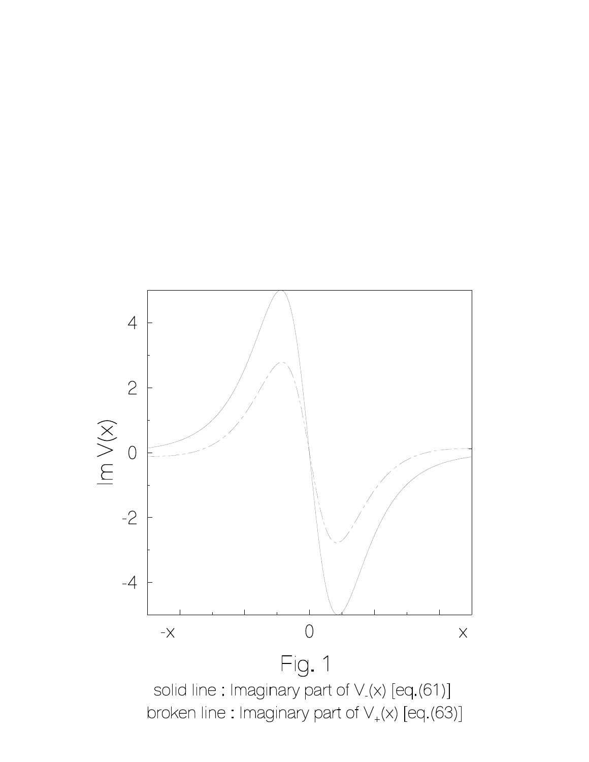